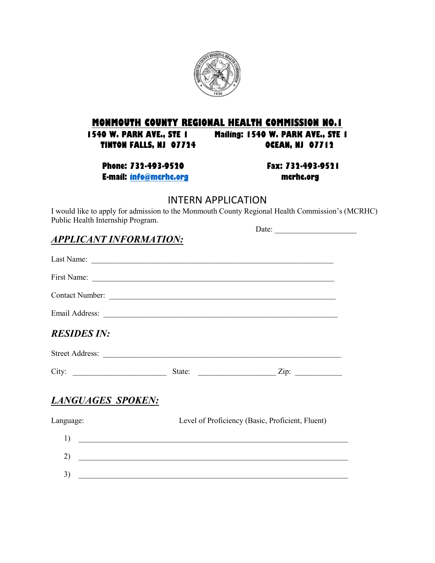

# **MONMOUTH COUNTY REGIONAL HEALTH COMMISSION NO.1**<br>1540 W. PARK AVE., STE 1 Mailing: 1540 W. PARK AVE., STE

**1540 W. PARK AVE., STE 1 Mailing: 1540 W. PARK AVE., STE 1 TINTON FALLS, NJ 07724 OCEAN, NJ 07712**

**Phone: 732-493-9520 Fax: 732-493-9521 E-mail: [info@mcrhc.org](mailto:info@mcrhc.org) mcrhc.org**

Date: \_\_\_\_\_\_\_\_\_\_\_\_\_\_\_\_\_\_\_\_\_

#### INTERN APPLICATION

I would like to apply for admission to the Monmouth County Regional Health Commission's (MCRHC) Public Health Internship Program.

## *APPLICANT INFORMATION:*

| Contact Number:                                                                                                            |                                                  |  |  |
|----------------------------------------------------------------------------------------------------------------------------|--------------------------------------------------|--|--|
|                                                                                                                            |                                                  |  |  |
| <b>RESIDES IN:</b>                                                                                                         |                                                  |  |  |
|                                                                                                                            |                                                  |  |  |
| City:                                                                                                                      |                                                  |  |  |
| LANGUAGES SPOKEN:                                                                                                          |                                                  |  |  |
| Language:                                                                                                                  | Level of Proficiency (Basic, Proficient, Fluent) |  |  |
| 1)                                                                                                                         |                                                  |  |  |
| 2)<br><u> 2000 - Jan James James James James James James James James James James James James James James James James J</u> |                                                  |  |  |
| 3)                                                                                                                         |                                                  |  |  |